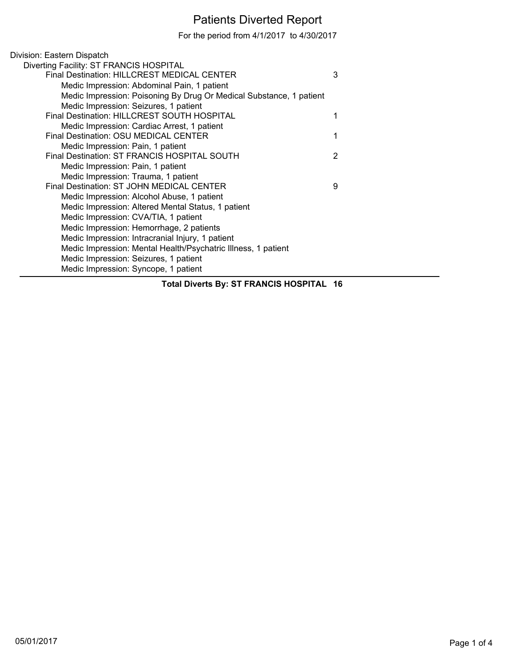## Patients Diverted Report

For the period from 4/1/2017 to 4/30/2017

| Division: Eastern Dispatch                                          |   |
|---------------------------------------------------------------------|---|
| Diverting Facility: ST FRANCIS HOSPITAL                             |   |
| <b>Final Destination: HILLCREST MEDICAL CENTER</b>                  | 3 |
| Medic Impression: Abdominal Pain, 1 patient                         |   |
| Medic Impression: Poisoning By Drug Or Medical Substance, 1 patient |   |
| Medic Impression: Seizures, 1 patient                               |   |
| Final Destination: HILLCREST SOUTH HOSPITAL                         |   |
| Medic Impression: Cardiac Arrest, 1 patient                         |   |
| Final Destination: OSU MEDICAL CENTER                               |   |
| Medic Impression: Pain, 1 patient                                   |   |
| Final Destination: ST FRANCIS HOSPITAL SOUTH                        | 2 |
| Medic Impression: Pain, 1 patient                                   |   |
| Medic Impression: Trauma, 1 patient                                 |   |
| Final Destination: ST JOHN MEDICAL CENTER                           | 9 |
| Medic Impression: Alcohol Abuse, 1 patient                          |   |
| Medic Impression: Altered Mental Status, 1 patient                  |   |
| Medic Impression: CVA/TIA, 1 patient                                |   |
| Medic Impression: Hemorrhage, 2 patients                            |   |
| Medic Impression: Intracranial Injury, 1 patient                    |   |
| Medic Impression: Mental Health/Psychatric Illness, 1 patient       |   |
| Medic Impression: Seizures, 1 patient                               |   |
| Medic Impression: Syncope, 1 patient                                |   |
|                                                                     |   |

**Total Diverts By: ST FRANCIS HOSPITAL 16**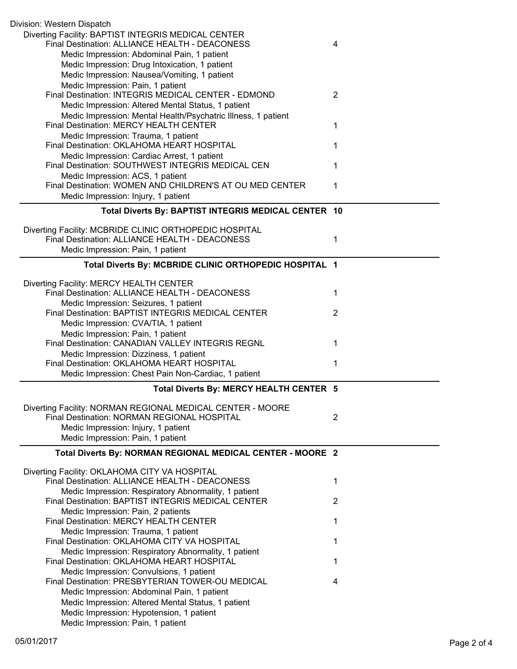| Division: Western Dispatch                                                                             |                |
|--------------------------------------------------------------------------------------------------------|----------------|
| Diverting Facility: BAPTIST INTEGRIS MEDICAL CENTER<br>Final Destination: ALLIANCE HEALTH - DEACONESS  | 4              |
| Medic Impression: Abdominal Pain, 1 patient                                                            |                |
| Medic Impression: Drug Intoxication, 1 patient                                                         |                |
| Medic Impression: Nausea/Vomiting, 1 patient                                                           |                |
| Medic Impression: Pain, 1 patient<br>Final Destination: INTEGRIS MEDICAL CENTER - EDMOND               | $\overline{2}$ |
| Medic Impression: Altered Mental Status, 1 patient                                                     |                |
| Medic Impression: Mental Health/Psychatric Illness, 1 patient                                          |                |
| Final Destination: MERCY HEALTH CENTER                                                                 | 1              |
| Medic Impression: Trauma, 1 patient                                                                    |                |
| Final Destination: OKLAHOMA HEART HOSPITAL<br>Medic Impression: Cardiac Arrest, 1 patient              | 1              |
| Final Destination: SOUTHWEST INTEGRIS MEDICAL CEN                                                      | 1              |
| Medic Impression: ACS, 1 patient                                                                       |                |
| Final Destination: WOMEN AND CHILDREN'S AT OU MED CENTER                                               | 1              |
| Medic Impression: Injury, 1 patient                                                                    |                |
| Total Diverts By: BAPTIST INTEGRIS MEDICAL CENTER 10                                                   |                |
| Diverting Facility: MCBRIDE CLINIC ORTHOPEDIC HOSPITAL                                                 |                |
| Final Destination: ALLIANCE HEALTH - DEACONESS                                                         | 1              |
| Medic Impression: Pain, 1 patient                                                                      |                |
| Total Diverts By: MCBRIDE CLINIC ORTHOPEDIC HOSPITAL 1                                                 |                |
| Diverting Facility: MERCY HEALTH CENTER                                                                |                |
| Final Destination: ALLIANCE HEALTH - DEACONESS                                                         | 1              |
| Medic Impression: Seizures, 1 patient                                                                  |                |
| Final Destination: BAPTIST INTEGRIS MEDICAL CENTER<br>Medic Impression: CVA/TIA, 1 patient             | $\overline{2}$ |
| Medic Impression: Pain, 1 patient                                                                      |                |
| Final Destination: CANADIAN VALLEY INTEGRIS REGNL                                                      | 1              |
| Medic Impression: Dizziness, 1 patient                                                                 |                |
| Final Destination: OKLAHOMA HEART HOSPITAL                                                             | 1              |
| Medic Impression: Chest Pain Non-Cardiac, 1 patient                                                    |                |
| Total Diverts By: MERCY HEALTH CENTER 5                                                                |                |
| Diverting Facility: NORMAN REGIONAL MEDICAL CENTER - MOORE                                             |                |
| Final Destination: NORMAN REGIONAL HOSPITAL                                                            | 2              |
| Medic Impression: Injury, 1 patient<br>Medic Impression: Pain, 1 patient                               |                |
|                                                                                                        |                |
| Total Diverts By: NORMAN REGIONAL MEDICAL CENTER - MOORE 2                                             |                |
| Diverting Facility: OKLAHOMA CITY VA HOSPITAL                                                          |                |
| Final Destination: ALLIANCE HEALTH - DEACONESS<br>Medic Impression: Respiratory Abnormality, 1 patient | 1              |
| Final Destination: BAPTIST INTEGRIS MEDICAL CENTER                                                     | 2              |
| Medic Impression: Pain, 2 patients                                                                     |                |
| Final Destination: MERCY HEALTH CENTER                                                                 | 1              |
| Medic Impression: Trauma, 1 patient                                                                    |                |
| Final Destination: OKLAHOMA CITY VA HOSPITAL                                                           | 1              |
| Medic Impression: Respiratory Abnormality, 1 patient<br>Final Destination: OKLAHOMA HEART HOSPITAL     | 1              |
| Medic Impression: Convulsions, 1 patient                                                               |                |
| Final Destination: PRESBYTERIAN TOWER-OU MEDICAL                                                       | 4              |
| Medic Impression: Abdominal Pain, 1 patient                                                            |                |
| Medic Impression: Altered Mental Status, 1 patient                                                     |                |
| Medic Impression: Hypotension, 1 patient                                                               |                |
| Medic Impression: Pain, 1 patient                                                                      |                |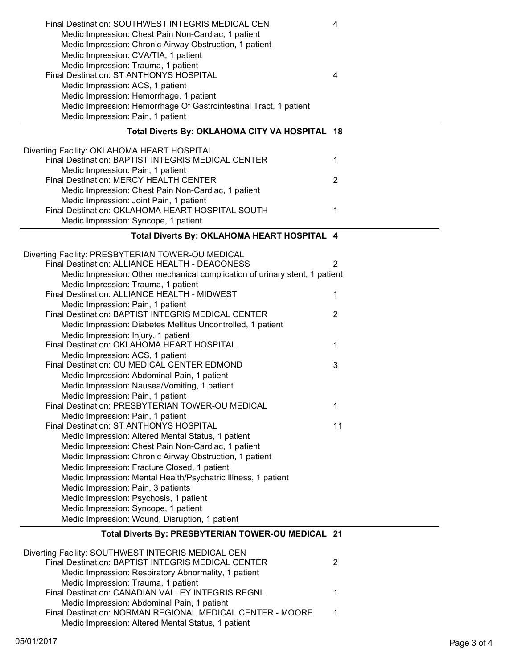| Final Destination: SOUTHWEST INTEGRIS MEDICAL CEN<br>Medic Impression: Chest Pain Non-Cardiac, 1 patient<br>Medic Impression: Chronic Airway Obstruction, 1 patient<br>Medic Impression: CVA/TIA, 1 patient<br>Medic Impression: Trauma, 1 patient | 4              |
|----------------------------------------------------------------------------------------------------------------------------------------------------------------------------------------------------------------------------------------------------|----------------|
| Final Destination: ST ANTHONYS HOSPITAL                                                                                                                                                                                                            | 4              |
| Medic Impression: ACS, 1 patient                                                                                                                                                                                                                   |                |
| Medic Impression: Hemorrhage, 1 patient                                                                                                                                                                                                            |                |
| Medic Impression: Hemorrhage Of Gastrointestinal Tract, 1 patient                                                                                                                                                                                  |                |
| Medic Impression: Pain, 1 patient                                                                                                                                                                                                                  |                |
| Total Diverts By: OKLAHOMA CITY VA HOSPITAL 18                                                                                                                                                                                                     |                |
| Diverting Facility: OKLAHOMA HEART HOSPITAL<br>Final Destination: BAPTIST INTEGRIS MEDICAL CENTER                                                                                                                                                  | 1              |
| Medic Impression: Pain, 1 patient                                                                                                                                                                                                                  |                |
| Final Destination: MERCY HEALTH CENTER                                                                                                                                                                                                             | $\overline{2}$ |
| Medic Impression: Chest Pain Non-Cardiac, 1 patient                                                                                                                                                                                                |                |
| Medic Impression: Joint Pain, 1 patient                                                                                                                                                                                                            |                |
| Final Destination: OKLAHOMA HEART HOSPITAL SOUTH                                                                                                                                                                                                   | 1              |
| Medic Impression: Syncope, 1 patient                                                                                                                                                                                                               |                |
|                                                                                                                                                                                                                                                    |                |
| Total Diverts By: OKLAHOMA HEART HOSPITAL 4                                                                                                                                                                                                        |                |
| Diverting Facility: PRESBYTERIAN TOWER-OU MEDICAL                                                                                                                                                                                                  |                |
| Final Destination: ALLIANCE HEALTH - DEACONESS                                                                                                                                                                                                     | 2              |
| Medic Impression: Other mechanical complication of urinary stent, 1 patient                                                                                                                                                                        |                |
| Medic Impression: Trauma, 1 patient                                                                                                                                                                                                                |                |
| Final Destination: ALLIANCE HEALTH - MIDWEST                                                                                                                                                                                                       | 1              |
| Medic Impression: Pain, 1 patient                                                                                                                                                                                                                  |                |
| Final Destination: BAPTIST INTEGRIS MEDICAL CENTER                                                                                                                                                                                                 | $\overline{2}$ |
| Medic Impression: Diabetes Mellitus Uncontrolled, 1 patient                                                                                                                                                                                        |                |
| Medic Impression: Injury, 1 patient                                                                                                                                                                                                                |                |
| Final Destination: OKLAHOMA HEART HOSPITAL                                                                                                                                                                                                         | 1              |
| Medic Impression: ACS, 1 patient                                                                                                                                                                                                                   |                |
| Final Destination: OU MEDICAL CENTER EDMOND                                                                                                                                                                                                        | 3              |
| Medic Impression: Abdominal Pain, 1 patient                                                                                                                                                                                                        |                |
| Medic Impression: Nausea/Vomiting, 1 patient                                                                                                                                                                                                       |                |
| Medic Impression: Pain, 1 patient<br>Final Destination: PRESBYTERIAN TOWER-OU MEDICAL                                                                                                                                                              |                |
|                                                                                                                                                                                                                                                    | 1              |
| Medic Impression: Pain, 1 patient<br>Final Destination: ST ANTHONYS HOSPITAL                                                                                                                                                                       | 11             |
| Medic Impression: Altered Mental Status, 1 patient                                                                                                                                                                                                 |                |
| Medic Impression: Chest Pain Non-Cardiac, 1 patient                                                                                                                                                                                                |                |
| Medic Impression: Chronic Airway Obstruction, 1 patient                                                                                                                                                                                            |                |
| Medic Impression: Fracture Closed, 1 patient                                                                                                                                                                                                       |                |
| Medic Impression: Mental Health/Psychatric Illness, 1 patient                                                                                                                                                                                      |                |
| Medic Impression: Pain, 3 patients                                                                                                                                                                                                                 |                |
| Medic Impression: Psychosis, 1 patient                                                                                                                                                                                                             |                |
| Medic Impression: Syncope, 1 patient                                                                                                                                                                                                               |                |
| Medic Impression: Wound, Disruption, 1 patient                                                                                                                                                                                                     |                |
|                                                                                                                                                                                                                                                    |                |
| Total Diverts By: PRESBYTERIAN TOWER-OU MEDICAL 21                                                                                                                                                                                                 |                |
| Diverting Facility: SOUTHWEST INTEGRIS MEDICAL CEN                                                                                                                                                                                                 |                |
| Final Destination: BAPTIST INTEGRIS MEDICAL CENTER                                                                                                                                                                                                 | 2              |
| Medic Impression: Respiratory Abnormality, 1 patient                                                                                                                                                                                               |                |
| Medic Impression: Trauma, 1 patient                                                                                                                                                                                                                |                |
| Final Destination: CANADIAN VALLEY INTEGRIS REGNL                                                                                                                                                                                                  |                |
|                                                                                                                                                                                                                                                    | 1              |
| Medic Impression: Abdominal Pain, 1 patient                                                                                                                                                                                                        |                |
| Final Destination: NORMAN REGIONAL MEDICAL CENTER - MOORE<br>Medic Impression: Altered Mental Status, 1 patient                                                                                                                                    | 1              |